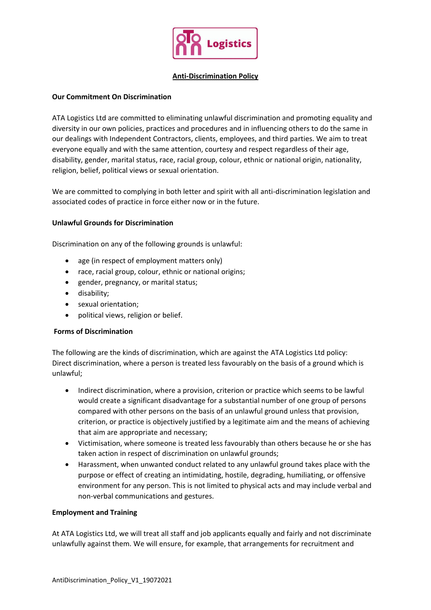

#### **Anti-Discrimination Policy**

## **Our Commitment On Discrimination**

ATA Logistics Ltd are committed to eliminating unlawful discrimination and promoting equality and diversity in our own policies, practices and procedures and in influencing others to do the same in our dealings with Independent Contractors, clients, employees, and third parties. We aim to treat everyone equally and with the same attention, courtesy and respect regardless of their age, disability, gender, marital status, race, racial group, colour, ethnic or national origin, nationality, religion, belief, political views or sexual orientation.

We are committed to complying in both letter and spirit with all anti-discrimination legislation and associated codes of practice in force either now or in the future.

## **Unlawful Grounds for Discrimination**

Discrimination on any of the following grounds is unlawful:

- age (in respect of employment matters only)
- race, racial group, colour, ethnic or national origins;
- gender, pregnancy, or marital status;
- disability;
- sexual orientation;
- political views, religion or belief.

#### **Forms of Discrimination**

The following are the kinds of discrimination, which are against the ATA Logistics Ltd policy: Direct discrimination, where a person is treated less favourably on the basis of a ground which is unlawful;

- Indirect discrimination, where a provision, criterion or practice which seems to be lawful would create a significant disadvantage for a substantial number of one group of persons compared with other persons on the basis of an unlawful ground unless that provision, criterion, or practice is objectively justified by a legitimate aim and the means of achieving that aim are appropriate and necessary;
- Victimisation, where someone is treated less favourably than others because he or she has taken action in respect of discrimination on unlawful grounds;
- Harassment, when unwanted conduct related to any unlawful ground takes place with the purpose or effect of creating an intimidating, hostile, degrading, humiliating, or offensive environment for any person. This is not limited to physical acts and may include verbal and non-verbal communications and gestures.

#### **Employment and Training**

At ATA Logistics Ltd, we will treat all staff and job applicants equally and fairly and not discriminate unlawfully against them. We will ensure, for example, that arrangements for recruitment and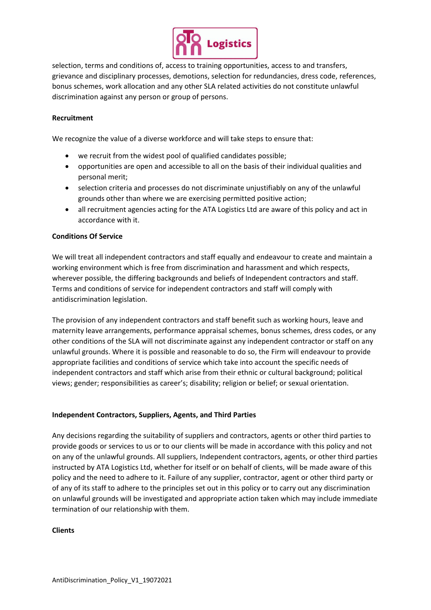

selection, terms and conditions of, access to training opportunities, access to and transfers, grievance and disciplinary processes, demotions, selection for redundancies, dress code, references, bonus schemes, work allocation and any other SLA related activities do not constitute unlawful discrimination against any person or group of persons.

### **Recruitment**

We recognize the value of a diverse workforce and will take steps to ensure that:

- we recruit from the widest pool of qualified candidates possible;
- opportunities are open and accessible to all on the basis of their individual qualities and personal merit;
- selection criteria and processes do not discriminate unjustifiably on any of the unlawful grounds other than where we are exercising permitted positive action;
- all recruitment agencies acting for the ATA Logistics Ltd are aware of this policy and act in accordance with it.

## **Conditions Of Service**

We will treat all independent contractors and staff equally and endeavour to create and maintain a working environment which is free from discrimination and harassment and which respects, wherever possible, the differing backgrounds and beliefs of Independent contractors and staff. Terms and conditions of service for independent contractors and staff will comply with antidiscrimination legislation.

The provision of any independent contractors and staff benefit such as working hours, leave and maternity leave arrangements, performance appraisal schemes, bonus schemes, dress codes, or any other conditions of the SLA will not discriminate against any independent contractor or staff on any unlawful grounds. Where it is possible and reasonable to do so, the Firm will endeavour to provide appropriate facilities and conditions of service which take into account the specific needs of independent contractors and staff which arise from their ethnic or cultural background; political views; gender; responsibilities as career's; disability; religion or belief; or sexual orientation.

#### **Independent Contractors, Suppliers, Agents, and Third Parties**

Any decisions regarding the suitability of suppliers and contractors, agents or other third parties to provide goods or services to us or to our clients will be made in accordance with this policy and not on any of the unlawful grounds. All suppliers, Independent contractors, agents, or other third parties instructed by ATA Logistics Ltd, whether for itself or on behalf of clients, will be made aware of this policy and the need to adhere to it. Failure of any supplier, contractor, agent or other third party or of any of its staff to adhere to the principles set out in this policy or to carry out any discrimination on unlawful grounds will be investigated and appropriate action taken which may include immediate termination of our relationship with them.

#### **Clients**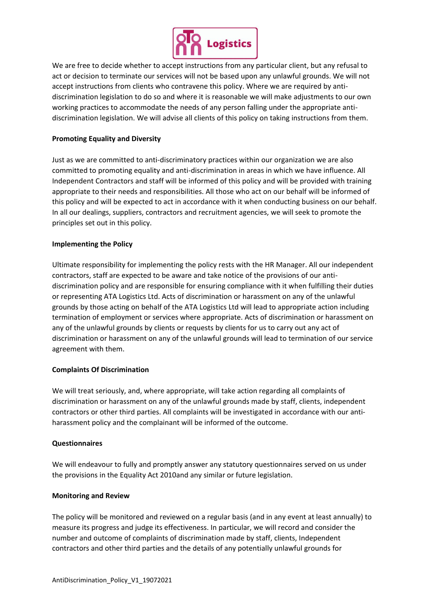

We are free to decide whether to accept instructions from any particular client, but any refusal to act or decision to terminate our services will not be based upon any unlawful grounds. We will not accept instructions from clients who contravene this policy. Where we are required by antidiscrimination legislation to do so and where it is reasonable we will make adjustments to our own working practices to accommodate the needs of any person falling under the appropriate antidiscrimination legislation. We will advise all clients of this policy on taking instructions from them.

# **Promoting Equality and Diversity**

Just as we are committed to anti-discriminatory practices within our organization we are also committed to promoting equality and anti-discrimination in areas in which we have influence. All Independent Contractors and staff will be informed of this policy and will be provided with training appropriate to their needs and responsibilities. All those who act on our behalf will be informed of this policy and will be expected to act in accordance with it when conducting business on our behalf. In all our dealings, suppliers, contractors and recruitment agencies, we will seek to promote the principles set out in this policy.

#### **Implementing the Policy**

Ultimate responsibility for implementing the policy rests with the HR Manager. All our independent contractors, staff are expected to be aware and take notice of the provisions of our antidiscrimination policy and are responsible for ensuring compliance with it when fulfilling their duties or representing ATA Logistics Ltd. Acts of discrimination or harassment on any of the unlawful grounds by those acting on behalf of the ATA Logistics Ltd will lead to appropriate action including termination of employment or services where appropriate. Acts of discrimination or harassment on any of the unlawful grounds by clients or requests by clients for us to carry out any act of discrimination or harassment on any of the unlawful grounds will lead to termination of our service agreement with them.

#### **Complaints Of Discrimination**

We will treat seriously, and, where appropriate, will take action regarding all complaints of discrimination or harassment on any of the unlawful grounds made by staff, clients, independent contractors or other third parties. All complaints will be investigated in accordance with our antiharassment policy and the complainant will be informed of the outcome.

#### **Questionnaires**

We will endeavour to fully and promptly answer any statutory questionnaires served on us under the provisions in the Equality Act 2010and any similar or future legislation.

#### **Monitoring and Review**

The policy will be monitored and reviewed on a regular basis (and in any event at least annually) to measure its progress and judge its effectiveness. In particular, we will record and consider the number and outcome of complaints of discrimination made by staff, clients, Independent contractors and other third parties and the details of any potentially unlawful grounds for